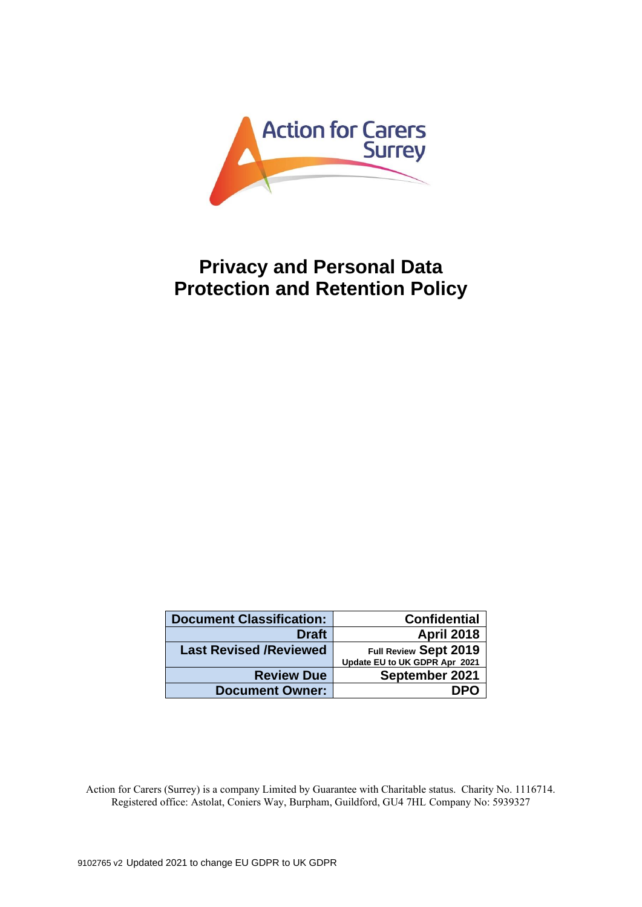

# **Privacy and Personal Data Protection and Retention Policy**

| <b>Document Classification:</b> | <b>Confidential</b>           |
|---------------------------------|-------------------------------|
| <b>Draft</b>                    | <b>April 2018</b>             |
| <b>Last Revised /Reviewed</b>   | Full Review Sept 2019         |
|                                 | Update EU to UK GDPR Apr 2021 |
| <b>Review Due</b>               | September 2021                |
| <b>Document Owner:</b>          | DPO                           |

Action for Carers (Surrey) is a company Limited by Guarantee with Charitable status. Charity No. 1116714. Registered office: Astolat, Coniers Way, Burpham, Guildford, GU4 7HL Company No: 5939327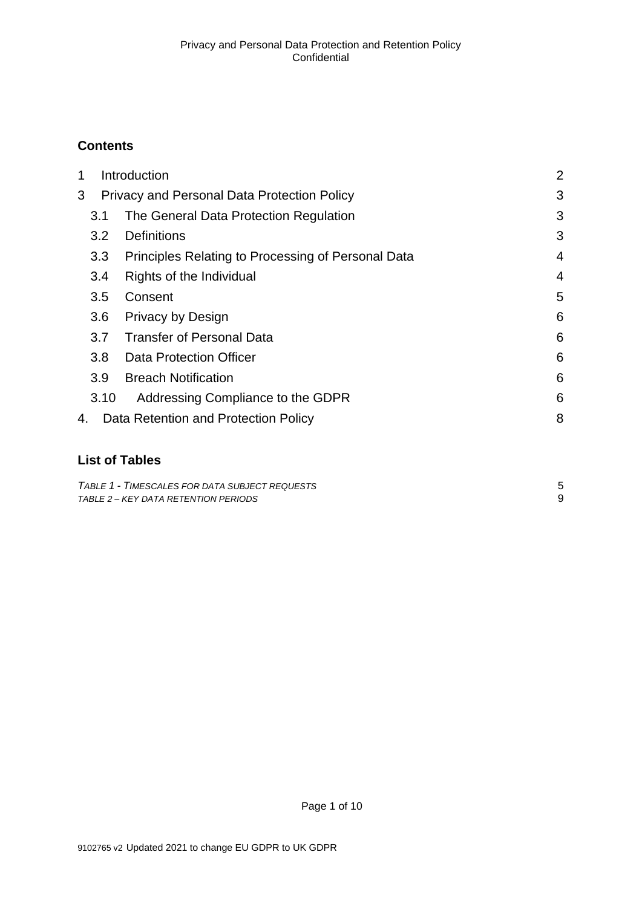# **Contents**

| Introduction<br>1 |                  | $\overline{2}$                                     |   |
|-------------------|------------------|----------------------------------------------------|---|
| 3                 |                  | Privacy and Personal Data Protection Policy        | 3 |
|                   | 3.1              | The General Data Protection Regulation             | 3 |
|                   | 3.2              | <b>Definitions</b>                                 | 3 |
|                   | 3.3              | Principles Relating to Processing of Personal Data | 4 |
|                   | 3.4              | Rights of the Individual                           | 4 |
|                   | 3.5              | Consent                                            | 5 |
|                   | 3.6              | <b>Privacy by Design</b>                           | 6 |
|                   | 3.7              | <b>Transfer of Personal Data</b>                   | 6 |
|                   | 3.8 <sub>2</sub> | <b>Data Protection Officer</b>                     | 6 |
|                   | 3.9 <sup>°</sup> | <b>Breach Notification</b>                         | 6 |
|                   | 3.10             | Addressing Compliance to the GDPR                  | 6 |
| 4.                |                  | Data Retention and Protection Policy               | 8 |
|                   |                  |                                                    |   |

# **List of Tables**

| TABLE 1 - TIMESCALES FOR DATA SUBJECT REQUESTS |  |
|------------------------------------------------|--|
| TABLE 2 – KEY DATA RETENTION PERIODS           |  |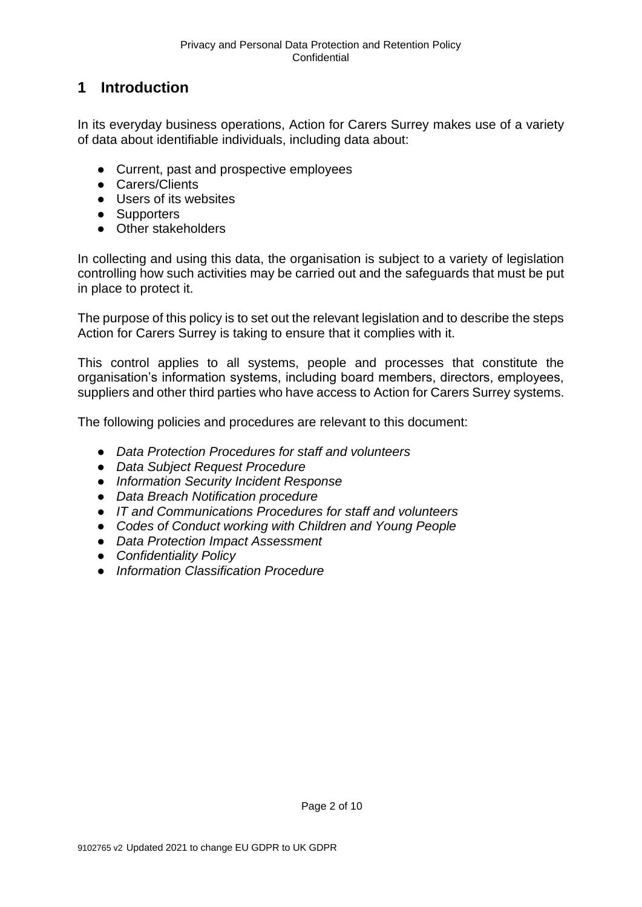# <span id="page-2-0"></span>**1 Introduction**

In its everyday business operations, Action for Carers Surrey makes use of a variety of data about identifiable individuals, including data about:

- Current, past and prospective employees
- Carers/Clients
- Users of its websites
- Supporters
- Other stakeholders

In collecting and using this data, the organisation is subject to a variety of legislation controlling how such activities may be carried out and the safeguards that must be put in place to protect it.

The purpose of this policy is to set out the relevant legislation and to describe the steps Action for Carers Surrey is taking to ensure that it complies with it.

This control applies to all systems, people and processes that constitute the organisation's information systems, including board members, directors, employees, suppliers and other third parties who have access to Action for Carers Surrey systems.

The following policies and procedures are relevant to this document:

- *Data Protection Procedures for staff and volunteers*
- *Data Subject Request Procedure*
- *Information Security Incident Response*
- *Data Breach Notification procedure*
- *IT and Communications Procedures for staff and volunteers*
- *Codes of Conduct working with Children and Young People*
- *Data Protection Impact Assessment*
- *Confidentiality Policy*
- *Information Classification Procedure*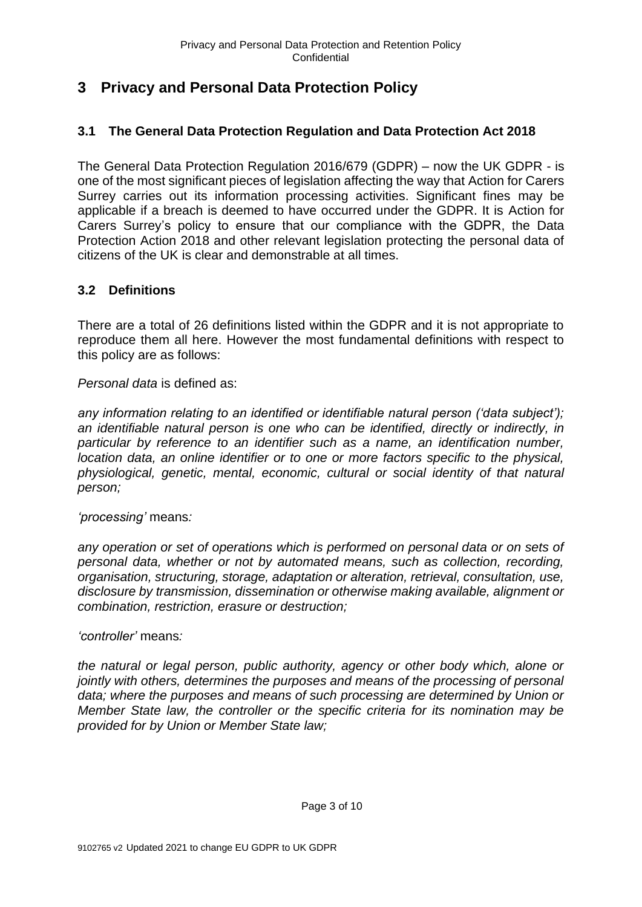# <span id="page-3-0"></span>**3 Privacy and Personal Data Protection Policy**

# <span id="page-3-1"></span>**3.1 The General Data Protection Regulation and Data Protection Act 2018**

The General Data Protection Regulation 2016/679 (GDPR) – now the UK GDPR - is one of the most significant pieces of legislation affecting the way that Action for Carers Surrey carries out its information processing activities. Significant fines may be applicable if a breach is deemed to have occurred under the GDPR. It is Action for Carers Surrey's policy to ensure that our compliance with the GDPR, the Data Protection Action 2018 and other relevant legislation protecting the personal data of citizens of the UK is clear and demonstrable at all times.

# <span id="page-3-2"></span>**3.2 Definitions**

There are a total of 26 definitions listed within the GDPR and it is not appropriate to reproduce them all here. However the most fundamental definitions with respect to this policy are as follows:

*Personal data* is defined as:

*any information relating to an identified or identifiable natural person ('data subject'); an identifiable natural person is one who can be identified, directly or indirectly, in particular by reference to an identifier such as a name, an identification number, location data, an online identifier or to one or more factors specific to the physical, physiological, genetic, mental, economic, cultural or social identity of that natural person;*

*'processing'* means*:*

*any operation or set of operations which is performed on personal data or on sets of personal data, whether or not by automated means, such as collection, recording, organisation, structuring, storage, adaptation or alteration, retrieval, consultation, use, disclosure by transmission, dissemination or otherwise making available, alignment or combination, restriction, erasure or destruction;*

*'controller'* means*:*

*the natural or legal person, public authority, agency or other body which, alone or jointly with others, determines the purposes and means of the processing of personal data; where the purposes and means of such processing are determined by Union or Member State law, the controller or the specific criteria for its nomination may be provided for by Union or Member State law;*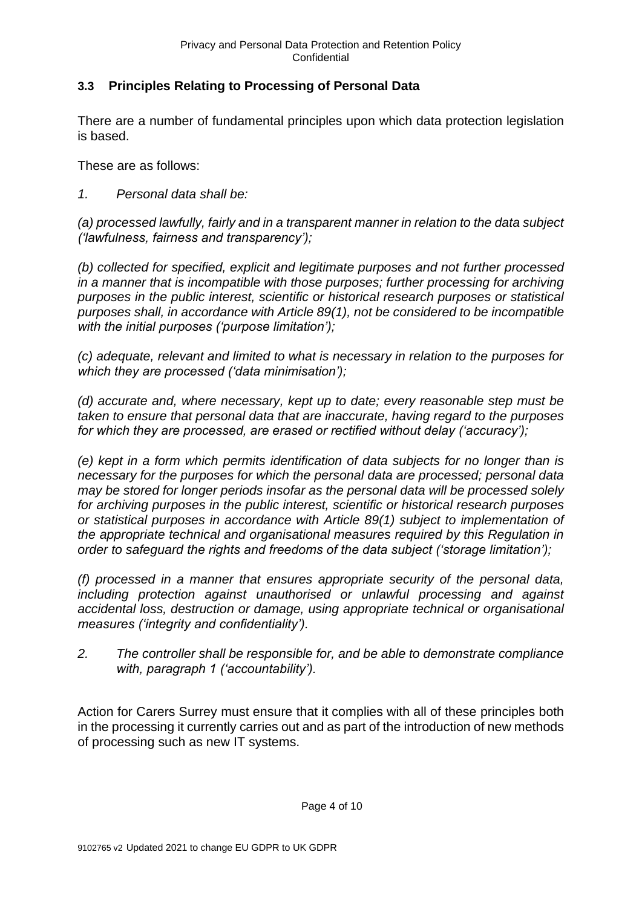# <span id="page-4-0"></span>**3.3 Principles Relating to Processing of Personal Data**

There are a number of fundamental principles upon which data protection legislation is based.

These are as follows:

### *1. Personal data shall be:*

*(a) processed lawfully, fairly and in a transparent manner in relation to the data subject ('lawfulness, fairness and transparency');*

*(b) collected for specified, explicit and legitimate purposes and not further processed in a manner that is incompatible with those purposes; further processing for archiving purposes in the public interest, scientific or historical research purposes or statistical purposes shall, in accordance with Article 89(1), not be considered to be incompatible with the initial purposes ('purpose limitation');*

*(c) adequate, relevant and limited to what is necessary in relation to the purposes for which they are processed ('data minimisation');*

*(d) accurate and, where necessary, kept up to date; every reasonable step must be taken to ensure that personal data that are inaccurate, having regard to the purposes for which they are processed, are erased or rectified without delay ('accuracy');*

*(e) kept in a form which permits identification of data subjects for no longer than is necessary for the purposes for which the personal data are processed; personal data may be stored for longer periods insofar as the personal data will be processed solely for archiving purposes in the public interest, scientific or historical research purposes or statistical purposes in accordance with Article 89(1) subject to implementation of the appropriate technical and organisational measures required by this Regulation in order to safeguard the rights and freedoms of the data subject ('storage limitation');*

*(f) processed in a manner that ensures appropriate security of the personal data, including protection against unauthorised or unlawful processing and against accidental loss, destruction or damage, using appropriate technical or organisational measures ('integrity and confidentiality').*

*2. The controller shall be responsible for, and be able to demonstrate compliance with, paragraph 1 ('accountability').*

Action for Carers Surrey must ensure that it complies with all of these principles both in the processing it currently carries out and as part of the introduction of new methods of processing such as new IT systems.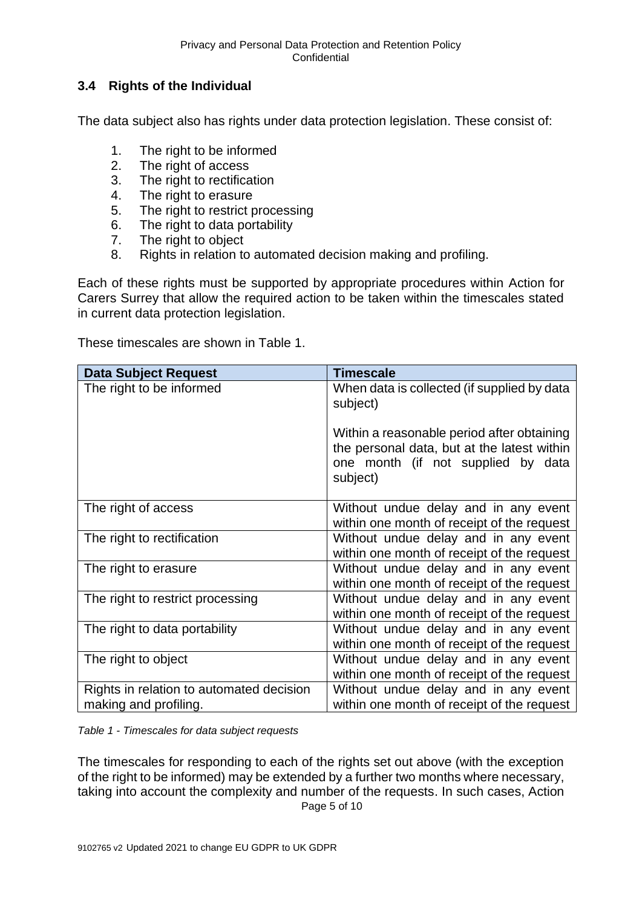## <span id="page-5-0"></span>**3.4 Rights of the Individual**

The data subject also has rights under data protection legislation. These consist of:

- 1. The right to be informed
- 2. The right of access
- 3. The right to rectification<br>4. The right to erasure
- The right to erasure
- 5. The right to restrict processing
- 6. The right to data portability
- 7. The right to object
- 8. Rights in relation to automated decision making and profiling.

Each of these rights must be supported by appropriate procedures within Action for Carers Surrey that allow the required action to be taken within the timescales stated in current data protection legislation.

These timescales are shown in Table 1.

| <b>Data Subject Request</b>              | <b>Timescale</b>                                                                                                                            |
|------------------------------------------|---------------------------------------------------------------------------------------------------------------------------------------------|
| The right to be informed                 | When data is collected (if supplied by data<br>subject)                                                                                     |
|                                          | Within a reasonable period after obtaining<br>the personal data, but at the latest within<br>one month (if not supplied by data<br>subject) |
| The right of access                      | Without undue delay and in any event<br>within one month of receipt of the request                                                          |
| The right to rectification               | Without undue delay and in any event<br>within one month of receipt of the request                                                          |
| The right to erasure                     | Without undue delay and in any event<br>within one month of receipt of the request                                                          |
| The right to restrict processing         | Without undue delay and in any event<br>within one month of receipt of the request                                                          |
| The right to data portability            | Without undue delay and in any event<br>within one month of receipt of the request                                                          |
| The right to object                      | Without undue delay and in any event<br>within one month of receipt of the request                                                          |
| Rights in relation to automated decision | Without undue delay and in any event                                                                                                        |
| making and profiling.                    | within one month of receipt of the request                                                                                                  |

<span id="page-5-1"></span>*Table 1 - Timescales for data subject requests*

Page 5 of 10 The timescales for responding to each of the rights set out above (with the exception of the right to be informed) may be extended by a further two months where necessary, taking into account the complexity and number of the requests. In such cases, Action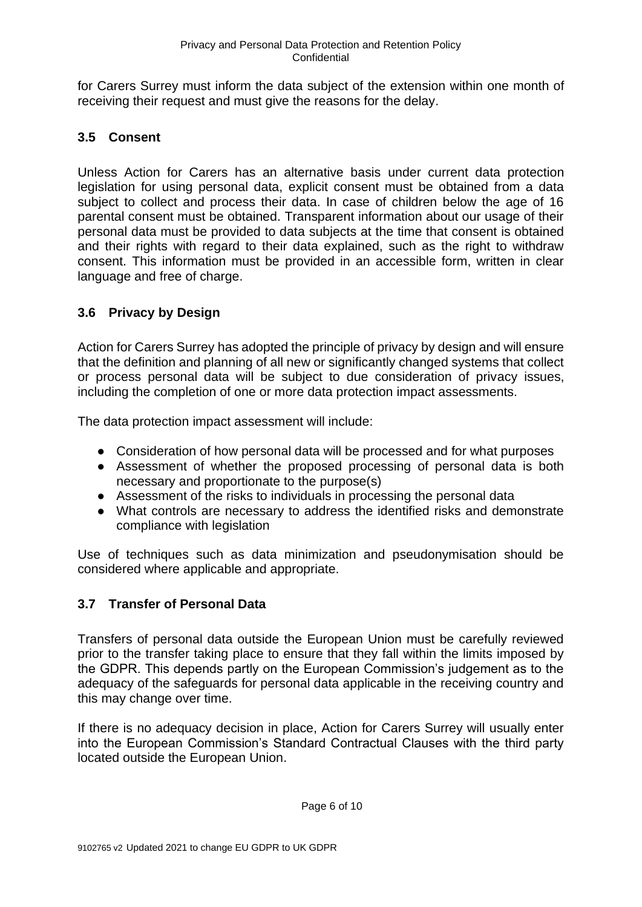for Carers Surrey must inform the data subject of the extension within one month of receiving their request and must give the reasons for the delay.

# <span id="page-6-0"></span>**3.5 Consent**

Unless Action for Carers has an alternative basis under current data protection legislation for using personal data, explicit consent must be obtained from a data subject to collect and process their data. In case of children below the age of 16 parental consent must be obtained. Transparent information about our usage of their personal data must be provided to data subjects at the time that consent is obtained and their rights with regard to their data explained, such as the right to withdraw consent. This information must be provided in an accessible form, written in clear language and free of charge.

# <span id="page-6-1"></span>**3.6 Privacy by Design**

Action for Carers Surrey has adopted the principle of privacy by design and will ensure that the definition and planning of all new or significantly changed systems that collect or process personal data will be subject to due consideration of privacy issues, including the completion of one or more data protection impact assessments.

The data protection impact assessment will include:

- Consideration of how personal data will be processed and for what purposes
- Assessment of whether the proposed processing of personal data is both necessary and proportionate to the purpose(s)
- Assessment of the risks to individuals in processing the personal data
- What controls are necessary to address the identified risks and demonstrate compliance with legislation

Use of techniques such as data minimization and pseudonymisation should be considered where applicable and appropriate.

### <span id="page-6-2"></span>**3.7 Transfer of Personal Data**

Transfers of personal data outside the European Union must be carefully reviewed prior to the transfer taking place to ensure that they fall within the limits imposed by the GDPR. This depends partly on the European Commission's judgement as to the adequacy of the safeguards for personal data applicable in the receiving country and this may change over time.

If there is no adequacy decision in place, Action for Carers Surrey will usually enter into the European Commission's Standard Contractual Clauses with the third party located outside the European Union.

Page 6 of 10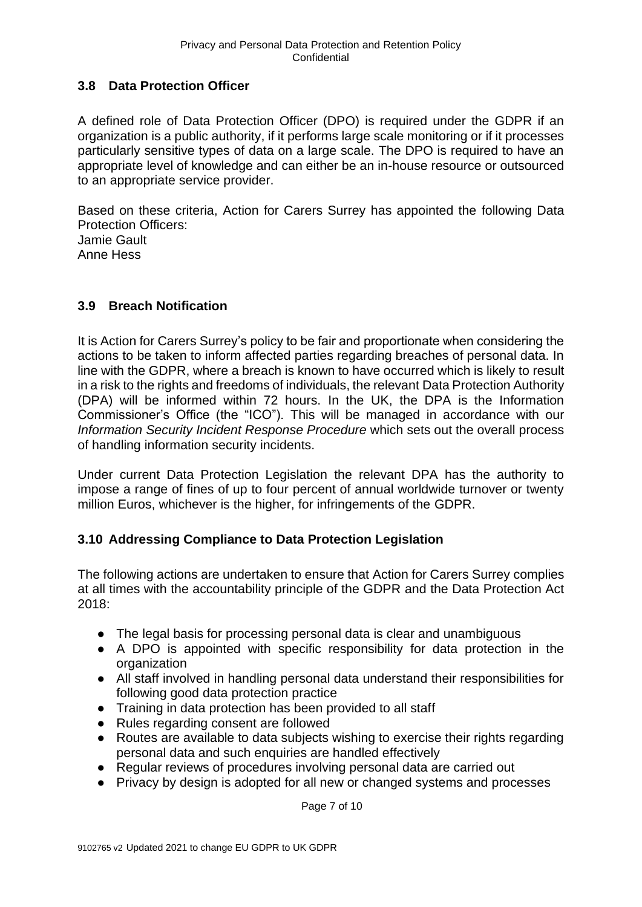## <span id="page-7-0"></span>**3.8 Data Protection Officer**

A defined role of Data Protection Officer (DPO) is required under the GDPR if an organization is a public authority, if it performs large scale monitoring or if it processes particularly sensitive types of data on a large scale. The DPO is required to have an appropriate level of knowledge and can either be an in-house resource or outsourced to an appropriate service provider.

Based on these criteria, Action for Carers Surrey has appointed the following Data Protection Officers: Jamie Gault

Anne Hess

# <span id="page-7-1"></span>**3.9 Breach Notification**

It is Action for Carers Surrey's policy to be fair and proportionate when considering the actions to be taken to inform affected parties regarding breaches of personal data. In line with the GDPR, where a breach is known to have occurred which is likely to result in a risk to the rights and freedoms of individuals, the relevant Data Protection Authority (DPA) will be informed within 72 hours. In the UK, the DPA is the Information Commissioner's Office (the "ICO"). This will be managed in accordance with our *Information Security Incident Response Procedure* which sets out the overall process of handling information security incidents.

Under current Data Protection Legislation the relevant DPA has the authority to impose a range of fines of up to four percent of annual worldwide turnover or twenty million Euros, whichever is the higher, for infringements of the GDPR.

# <span id="page-7-2"></span>**3.10 Addressing Compliance to Data Protection Legislation**

The following actions are undertaken to ensure that Action for Carers Surrey complies at all times with the accountability principle of the GDPR and the Data Protection Act 2018:

- The legal basis for processing personal data is clear and unambiguous
- A DPO is appointed with specific responsibility for data protection in the organization
- All staff involved in handling personal data understand their responsibilities for following good data protection practice
- Training in data protection has been provided to all staff
- Rules regarding consent are followed
- Routes are available to data subjects wishing to exercise their rights regarding personal data and such enquiries are handled effectively
- Regular reviews of procedures involving personal data are carried out
- Privacy by design is adopted for all new or changed systems and processes

Page 7 of 10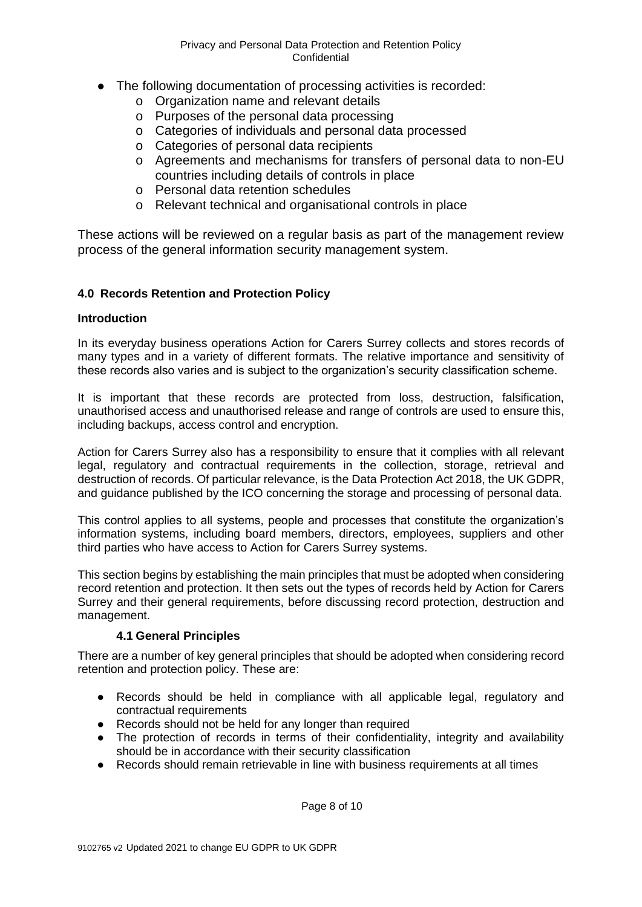- The following documentation of processing activities is recorded:
	- o Organization name and relevant details
	- o Purposes of the personal data processing
	- o Categories of individuals and personal data processed
	- o Categories of personal data recipients
	- o Agreements and mechanisms for transfers of personal data to non-EU countries including details of controls in place
	- o Personal data retention schedules
	- o Relevant technical and organisational controls in place

These actions will be reviewed on a regular basis as part of the management review process of the general information security management system.

#### **4.0 Records Retention and Protection Policy**

#### **Introduction**

In its everyday business operations Action for Carers Surrey collects and stores records of many types and in a variety of different formats. The relative importance and sensitivity of these records also varies and is subject to the organization's security classification scheme.

It is important that these records are protected from loss, destruction, falsification, unauthorised access and unauthorised release and range of controls are used to ensure this, including backups, access control and encryption.

Action for Carers Surrey also has a responsibility to ensure that it complies with all relevant legal, regulatory and contractual requirements in the collection, storage, retrieval and destruction of records. Of particular relevance, is the Data Protection Act 2018, the UK GDPR, and guidance published by the ICO concerning the storage and processing of personal data.

This control applies to all systems, people and processes that constitute the organization's information systems, including board members, directors, employees, suppliers and other third parties who have access to Action for Carers Surrey systems.

This section begins by establishing the main principles that must be adopted when considering record retention and protection. It then sets out the types of records held by Action for Carers Surrey and their general requirements, before discussing record protection, destruction and management.

#### **4.1 General Principles**

There are a number of key general principles that should be adopted when considering record retention and protection policy. These are:

- Records should be held in compliance with all applicable legal, regulatory and contractual requirements
- Records should not be held for any longer than required
- The protection of records in terms of their confidentiality, integrity and availability should be in accordance with their security classification
- Records should remain retrievable in line with business requirements at all times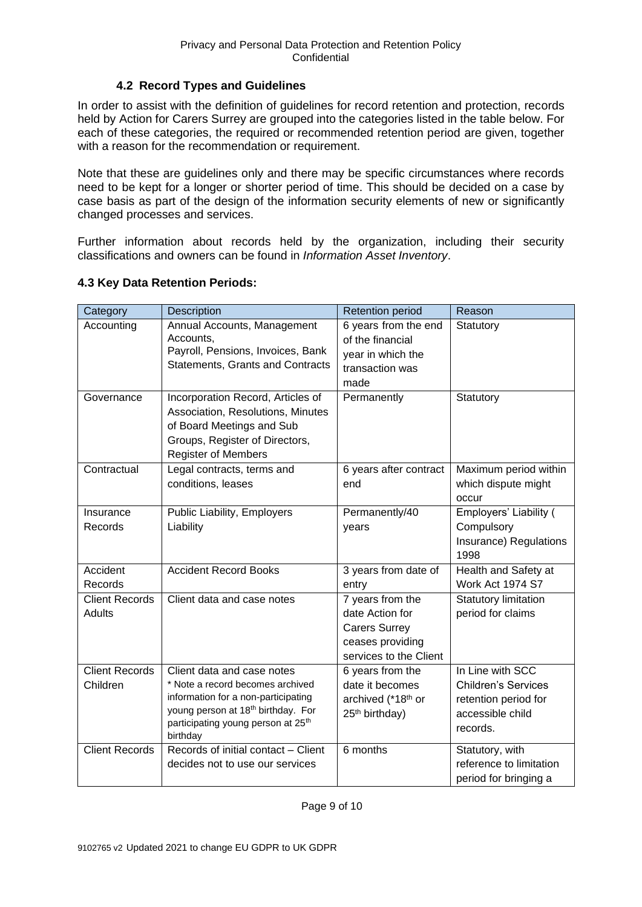#### **4.2 Record Types and Guidelines**

In order to assist with the definition of guidelines for record retention and protection, records held by Action for Carers Surrey are grouped into the categories listed in the table below. For each of these categories, the required or recommended retention period are given, together with a reason for the recommendation or requirement.

Note that these are guidelines only and there may be specific circumstances where records need to be kept for a longer or shorter period of time. This should be decided on a case by case basis as part of the design of the information security elements of new or significantly changed processes and services.

Further information about records held by the organization, including their security classifications and owners can be found in *Information Asset Inventory*.

| Category                          | Description                                                                                                                                                                                                           | <b>Retention period</b>                                                                                   | Reason                                                                                                 |
|-----------------------------------|-----------------------------------------------------------------------------------------------------------------------------------------------------------------------------------------------------------------------|-----------------------------------------------------------------------------------------------------------|--------------------------------------------------------------------------------------------------------|
| Accounting                        | Annual Accounts, Management<br>Accounts,<br>Payroll, Pensions, Invoices, Bank<br><b>Statements, Grants and Contracts</b>                                                                                              | 6 years from the end<br>of the financial<br>year in which the<br>transaction was<br>made                  | Statutory                                                                                              |
| Governance                        | Incorporation Record, Articles of<br>Association, Resolutions, Minutes<br>of Board Meetings and Sub<br>Groups, Register of Directors,<br><b>Register of Members</b>                                                   | Permanently                                                                                               | Statutory                                                                                              |
| Contractual                       | Legal contracts, terms and<br>conditions, leases                                                                                                                                                                      | 6 years after contract<br>end                                                                             | Maximum period within<br>which dispute might<br>occur                                                  |
| Insurance<br>Records              | Public Liability, Employers<br>Liability                                                                                                                                                                              | Permanently/40<br>years                                                                                   | Employers' Liability (<br>Compulsory<br>Insurance) Regulations<br>1998                                 |
| Accident<br>Records               | <b>Accident Record Books</b>                                                                                                                                                                                          | 3 years from date of<br>entry                                                                             | Health and Safety at<br>Work Act 1974 S7                                                               |
| <b>Client Records</b><br>Adults   | Client data and case notes                                                                                                                                                                                            | 7 years from the<br>date Action for<br><b>Carers Surrey</b><br>ceases providing<br>services to the Client | <b>Statutory limitation</b><br>period for claims                                                       |
| <b>Client Records</b><br>Children | Client data and case notes<br>* Note a record becomes archived<br>information for a non-participating<br>young person at 18 <sup>th</sup> birthday. For<br>participating young person at 25 <sup>th</sup><br>birthday | 6 years from the<br>date it becomes<br>archived (*18 <sup>th</sup> or<br>25 <sup>th</sup> birthday)       | In Line with SCC<br><b>Children's Services</b><br>retention period for<br>accessible child<br>records. |
| <b>Client Records</b>             | Records of initial contact - Client<br>decides not to use our services                                                                                                                                                | 6 months                                                                                                  | Statutory, with<br>reference to limitation<br>period for bringing a                                    |

#### **4.3 Key Data Retention Periods:**